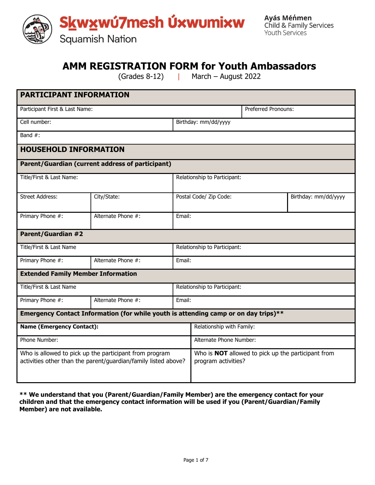

# **AMM REGISTRATION FORM for Youth Ambassadors**

(Grades 8-12) | March – August 2022

| <b>PARTICIPANT INFORMATION</b>                                                                                           |                                                  |                                                                                  |                              |                     |                      |
|--------------------------------------------------------------------------------------------------------------------------|--------------------------------------------------|----------------------------------------------------------------------------------|------------------------------|---------------------|----------------------|
| Participant First & Last Name:                                                                                           |                                                  |                                                                                  |                              | Preferred Pronouns: |                      |
| Cell number:                                                                                                             |                                                  |                                                                                  | Birthday: mm/dd/yyyy         |                     |                      |
| Band #:                                                                                                                  |                                                  |                                                                                  |                              |                     |                      |
| <b>HOUSEHOLD INFORMATION</b>                                                                                             |                                                  |                                                                                  |                              |                     |                      |
|                                                                                                                          | Parent/Guardian (current address of participant) |                                                                                  |                              |                     |                      |
| Title/First & Last Name:                                                                                                 |                                                  |                                                                                  | Relationship to Participant: |                     |                      |
| <b>Street Address:</b>                                                                                                   |                                                  |                                                                                  |                              |                     |                      |
|                                                                                                                          | City/State:                                      |                                                                                  | Postal Code/ Zip Code:       |                     | Birthday: mm/dd/yyyy |
| Primary Phone #:                                                                                                         | Alternate Phone #:                               | Email:                                                                           |                              |                     |                      |
| <b>Parent/Guardian #2</b>                                                                                                |                                                  |                                                                                  |                              |                     |                      |
| Title/First & Last Name                                                                                                  |                                                  |                                                                                  | Relationship to Participant: |                     |                      |
| Primary Phone #:                                                                                                         | Alternate Phone #:                               | Email:                                                                           |                              |                     |                      |
| <b>Extended Family Member Information</b>                                                                                |                                                  |                                                                                  |                              |                     |                      |
| Title/First & Last Name                                                                                                  |                                                  |                                                                                  | Relationship to Participant: |                     |                      |
| Primary Phone #:                                                                                                         | Alternate Phone #:                               | Email:                                                                           |                              |                     |                      |
| Emergency Contact Information (for while youth is attending camp or on day trips)**                                      |                                                  |                                                                                  |                              |                     |                      |
| <b>Name (Emergency Contact):</b>                                                                                         |                                                  | Relationship with Family:                                                        |                              |                     |                      |
| Phone Number:                                                                                                            |                                                  | Alternate Phone Number:                                                          |                              |                     |                      |
| Who is allowed to pick up the participant from program<br>activities other than the parent/guardian/family listed above? |                                                  | Who is <b>NOT</b> allowed to pick up the participant from<br>program activities? |                              |                     |                      |

**\*\* We understand that you (Parent/Guardian/Family Member) are the emergency contact for your children and that the emergency contact information will be used if you (Parent/Guardian/Family Member) are not available.**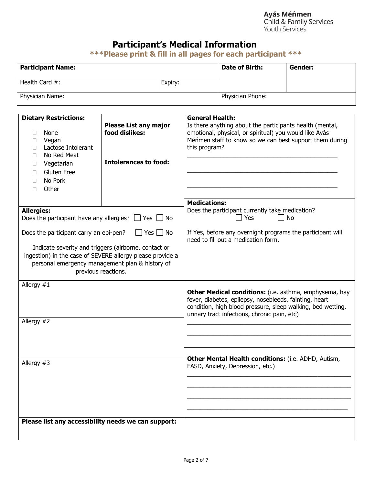**Ayás Méńmen**<br>Child & Family Services Youth Services

## **Participant's Medical Information**

**\*\*\*Please print & fill in all pages for each participant \*\*\***

| <b>Participant Name:</b> |         | Date of Birth:   | Gender: |
|--------------------------|---------|------------------|---------|
| Health Card #:           | Expiry: |                  |         |
| Physician Name:          |         | Physician Phone: |         |

| <b>Dietary Restrictions:</b>                                           |                                                                                                                                                                                             | <b>General Health:</b>                                                                                                                                                                                                          |
|------------------------------------------------------------------------|---------------------------------------------------------------------------------------------------------------------------------------------------------------------------------------------|---------------------------------------------------------------------------------------------------------------------------------------------------------------------------------------------------------------------------------|
| None<br>П<br>Vegan<br>П<br>Lactose Intolerant<br>П<br>No Red Meat<br>П | <b>Please List any major</b><br>food dislikes:                                                                                                                                              | Is there anything about the participants health (mental,<br>emotional, physical, or spiritual) you would like Ayás<br>Méńmen staff to know so we can best support them during<br>this program?                                  |
| Vegetarian<br>Ш                                                        | <b>Intolerances to food:</b>                                                                                                                                                                |                                                                                                                                                                                                                                 |
| Gluten Free<br>П                                                       |                                                                                                                                                                                             |                                                                                                                                                                                                                                 |
| No Pork<br>П                                                           |                                                                                                                                                                                             |                                                                                                                                                                                                                                 |
| Other                                                                  |                                                                                                                                                                                             |                                                                                                                                                                                                                                 |
|                                                                        |                                                                                                                                                                                             | <b>Medications:</b>                                                                                                                                                                                                             |
| <b>Allergies:</b><br>Does the participant have any allergies? $\Box$   | Yes $\Box$ No                                                                                                                                                                               | Does the participant currently take medication?<br><b>No</b><br>Yes                                                                                                                                                             |
| Does the participant carry an epi-pen?                                 | $\Box$ Yes $\Box$ No                                                                                                                                                                        | If Yes, before any overnight programs the participant will<br>need to fill out a medication form.                                                                                                                               |
|                                                                        | Indicate severity and triggers (airborne, contact or<br>ingestion) in the case of SEVERE allergy please provide a<br>personal emergency management plan & history of<br>previous reactions. |                                                                                                                                                                                                                                 |
| Allergy $#1$                                                           |                                                                                                                                                                                             |                                                                                                                                                                                                                                 |
|                                                                        |                                                                                                                                                                                             | Other Medical conditions: (i.e. asthma, emphysema, hay<br>fever, diabetes, epilepsy, nosebleeds, fainting, heart<br>condition, high blood pressure, sleep walking, bed wetting,<br>urinary tract infections, chronic pain, etc) |
| Allergy #2                                                             |                                                                                                                                                                                             |                                                                                                                                                                                                                                 |
|                                                                        |                                                                                                                                                                                             |                                                                                                                                                                                                                                 |
| Allergy #3                                                             |                                                                                                                                                                                             | Other Mental Health conditions: (i.e. ADHD, Autism,<br>FASD, Anxiety, Depression, etc.)                                                                                                                                         |
|                                                                        |                                                                                                                                                                                             |                                                                                                                                                                                                                                 |
|                                                                        |                                                                                                                                                                                             |                                                                                                                                                                                                                                 |
|                                                                        |                                                                                                                                                                                             |                                                                                                                                                                                                                                 |
| Please list any accessibility needs we can support:                    |                                                                                                                                                                                             |                                                                                                                                                                                                                                 |
|                                                                        |                                                                                                                                                                                             |                                                                                                                                                                                                                                 |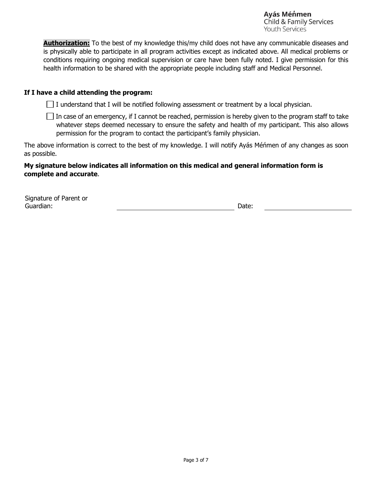Avás Ménmen Child & Family Services **Youth Services** 

**Authorization:** To the best of my knowledge this/my child does not have any communicable diseases and is physically able to participate in all program activities except as indicated above. All medical problems or conditions requiring ongoing medical supervision or care have been fully noted. I give permission for this health information to be shared with the appropriate people including staff and Medical Personnel.

#### **If I have a child attending the program:**

 $\Box$  I understand that I will be notified following assessment or treatment by a local physician.

 $\Box$  In case of an emergency, if I cannot be reached, permission is hereby given to the program staff to take whatever steps deemed necessary to ensure the safety and health of my participant. This also allows permission for the program to contact the participant's family physician.

The above information is correct to the best of my knowledge. I will notify Ayás Méńmen of any changes as soon as possible.

#### **My signature below indicates all information on this medical and general information form is complete and accurate**.

Signature of Parent or Guardian: Date: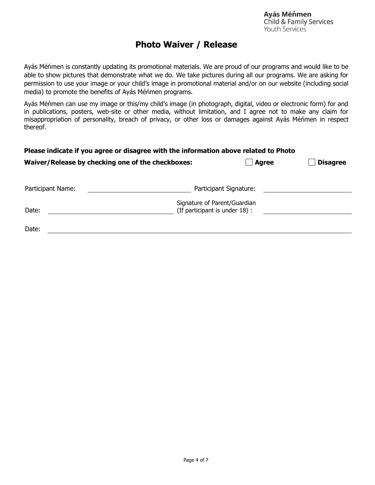### **Photo Waiver / Release**

Ayás Méńmen is constantly updating its promotional materials. We are proud of our programs and would like to be able to show pictures that demonstrate what we do. We take pictures during all our programs. We are asking for permission to use your image or your child's image in promotional material and/or on our website (including social media) to promote the benefits of Ayás Méńmen programs.

Ayás Méńmen can use my image or this/my child's image (in photograph, digital, video or electronic form) for and in publications, posters, web-site or other media, without limitation, and I agree not to make any claim for misappropriation of personality, breach of privacy, or other loss or damages against Ayás Méńmen in respect thereof.

#### **Please indicate if you agree or disagree with the information above related to Photo**

|                   | Waiver/Release by checking one of the checkboxes: | <b>Agree</b>                                                   | <b>Disagree</b> |
|-------------------|---------------------------------------------------|----------------------------------------------------------------|-----------------|
| Participant Name: |                                                   | Participant Signature:                                         |                 |
| Date:             |                                                   | Signature of Parent/Guardian<br>(If participant is under 18) : |                 |

| - |  |  |
|---|--|--|
|   |  |  |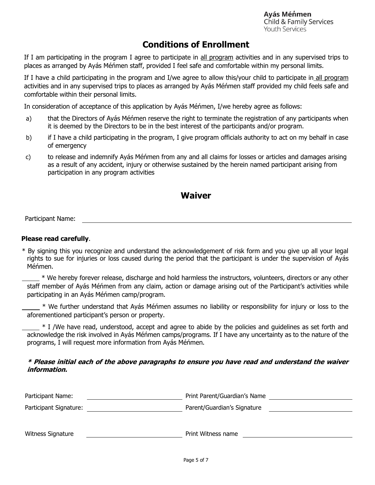Avás Ménmen Child & Family Services Youth Services

### **Conditions of Enrollment**

If I am participating in the program I agree to participate in all program activities and in any supervised trips to places as arranged by Ayás Méńmen staff, provided I feel safe and comfortable within my personal limits.

If I have a child participating in the program and I/we agree to allow this/your child to participate in all program activities and in any supervised trips to places as arranged by Ayás Méńmen staff provided my child feels safe and comfortable within their personal limits.

In consideration of acceptance of this application by Ayás Méńmen, I/we hereby agree as follows:

- a) that the Directors of Ayás Méńmen reserve the right to terminate the registration of any participants when it is deemed by the Directors to be in the best interest of the participants and/or program.
- b) if I have a child participating in the program, I give program officials authority to act on my behalf in case of emergency
- c) to release and indemnify Ayás Méńmen from any and all claims for losses or articles and damages arising as a result of any accident, injury or otherwise sustained by the herein named participant arising from participation in any program activities

### **Waiver**

Participant Name:

#### **Please read carefully**.

\* By signing this you recognize and understand the acknowledgement of risk form and you give up all your legal rights to sue for injuries or loss caused during the period that the participant is under the supervision of Ayás Méńmen.

\* We hereby forever release, discharge and hold harmless the instructors, volunteers, directors or any other staff member of Ayás Méńmen from any claim, action or damage arising out of the Participant's activities while participating in an Ayás Méńmen camp/program.

\* We further understand that Ayás Méńmen assumes no liability or responsibility for injury or loss to the aforementioned participant's person or property.

\* I /We have read, understood, accept and agree to abide by the policies and guidelines as set forth and acknowledge the risk involved in Ayás Méńmen camps/programs. If I have any uncertainty as to the nature of the programs, I will request more information from Ayás Méńmen.

#### **\* Please initial each of the above paragraphs to ensure you have read and understand the waiver information.**

| Participant Name:      | Print Parent/Guardian's Name |
|------------------------|------------------------------|
| Participant Signature: | Parent/Guardian's Signature  |
|                        |                              |
| Witness Signature      | Print Witness name           |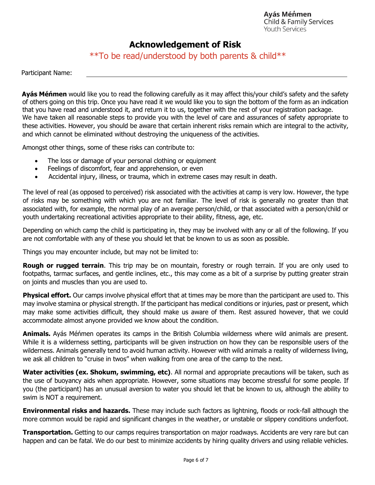### **Acknowledgement of Risk**

\*\*To be read/understood by both parents & child\*\*

Participant Name:

**Ayás Méńmen** would like you to read the following carefully as it may affect this/your child's safety and the safety of others going on this trip. Once you have read it we would like you to sign the bottom of the form as an indication that you have read and understood it, and return it to us, together with the rest of your registration package. We have taken all reasonable steps to provide you with the level of care and assurances of safety appropriate to these activities. However, you should be aware that certain inherent risks remain which are integral to the activity, and which cannot be eliminated without destroying the uniqueness of the activities.

Amongst other things, some of these risks can contribute to:

- The loss or damage of your personal clothing or equipment
- Feelings of discomfort, fear and apprehension, or even
- Accidental injury, illness, or trauma, which in extreme cases may result in death.

The level of real (as opposed to perceived) risk associated with the activities at camp is very low. However, the type of risks may be something with which you are not familiar. The level of risk is generally no greater than that associated with, for example, the normal play of an average person/child, or that associated with a person/child or youth undertaking recreational activities appropriate to their ability, fitness, age, etc.

Depending on which camp the child is participating in, they may be involved with any or all of the following. If you are not comfortable with any of these you should let that be known to us as soon as possible.

Things you may encounter include, but may not be limited to:

**Rough or rugged terrain**. This trip may be on mountain, forestry or rough terrain. If you are only used to footpaths, tarmac surfaces, and gentle inclines, etc., this may come as a bit of a surprise by putting greater strain on joints and muscles than you are used to.

**Physical effort.** Our camps involve physical effort that at times may be more than the participant are used to. This may involve stamina or physical strength. If the participant has medical conditions or injuries, past or present, which may make some activities difficult, they should make us aware of them. Rest assured however, that we could accommodate almost anyone provided we know about the condition.

**Animals.** Ayás Méńmen operates its camps in the British Columbia wilderness where wild animals are present. While it is a wilderness setting, participants will be given instruction on how they can be responsible users of the wilderness. Animals generally tend to avoid human activity. However with wild animals a reality of wilderness living, we ask all children to "cruise in twos" when walking from one area of the camp to the next.

**Water activities (ex. Shokum, swimming, etc)**. All normal and appropriate precautions will be taken, such as the use of buoyancy aids when appropriate. However, some situations may become stressful for some people. If you (the participant) has an unusual aversion to water you should let that be known to us, although the ability to swim is NOT a requirement.

**Environmental risks and hazards.** These may include such factors as lightning, floods or rock-fall although the more common would be rapid and significant changes in the weather, or unstable or slippery conditions underfoot.

**Transportation.** Getting to our camps requires transportation on major roadways. Accidents are very rare but can happen and can be fatal. We do our best to minimize accidents by hiring quality drivers and using reliable vehicles.